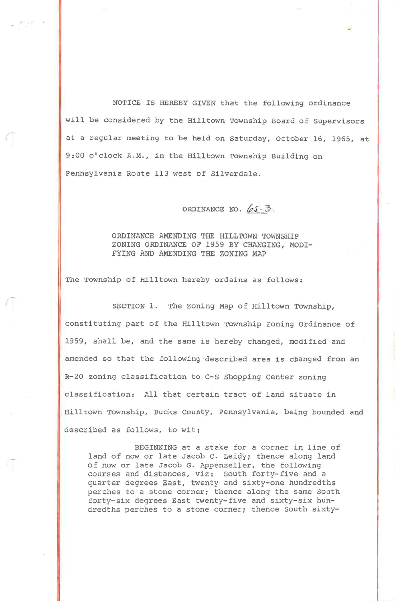NOTICE IS HEREBY GIVEN that the following ordinance will be considered by the Hilltown Township Board of Supervisors at a regular meeting to be held on Saturday, October 16, 1965, at 9:00 o'clock A.M., in the Hilltown Township Building on Pennsylvania Route 113 west of Silverdale.

ORDINANCE NO.  $65 - 3$ .

ORDINANCE AMENDING THE HILLTOWN TOWNSHIP ZONING ORDINANCE OF 1959 BY CHANGING, MODI-FYING AND AMENDING THE ZONING MAP

The Township of Hilltown hereby ordains as follows:

y'7

SECTION 1. The Zoning Map of Hilltown Township, constituting part of the Hilltown Township Zoning Ordinance of 1959, shall be, and the same is hereby changed, modified and amended so that the following 'described area is changed from an R-20 zoning classification to C-S Shopping Center zoning classification: All that certain tract of land situate in Hilltown Township, Bucks County, Pennsylvania, being bounded and described as follows, to wit:

BEGINNING at a stake for a corner in line of land of nov or late Jacob C. Leidy; thence along land of now or late Jacob G. Appenzeller, the following courses and distances, viz: South forty-five and a quarter degrees East, twenty and sixty-one hundredths perches to a stone corner; thence along the same South forty-six degrees East twenty-five and sixty-six hundredths perches to a stone corner; thence South sixty-